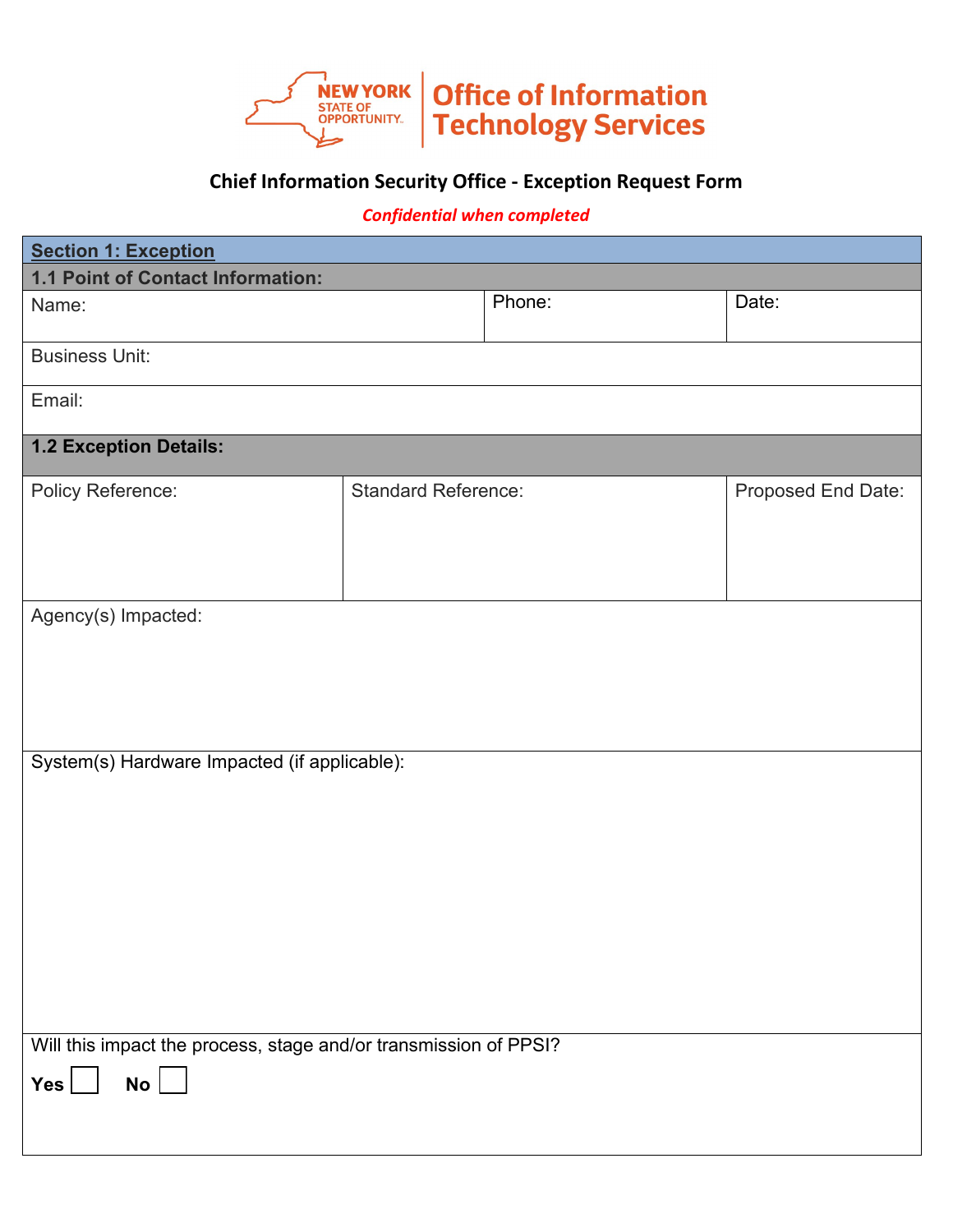

## **Chief Information Security Office - Exception Request Form**

## *Confidential when completed*

| <b>Section 1: Exception</b>                                                              |                            |        |                    |  |
|------------------------------------------------------------------------------------------|----------------------------|--------|--------------------|--|
| 1.1 Point of Contact Information:                                                        |                            |        |                    |  |
| Name:                                                                                    |                            | Phone: | Date:              |  |
| <b>Business Unit:</b>                                                                    |                            |        |                    |  |
| Email:                                                                                   |                            |        |                    |  |
| 1.2 Exception Details:                                                                   |                            |        |                    |  |
| <b>Policy Reference:</b>                                                                 | <b>Standard Reference:</b> |        | Proposed End Date: |  |
| Agency(s) Impacted:                                                                      |                            |        |                    |  |
| System(s) Hardware Impacted (if applicable):                                             |                            |        |                    |  |
| Will this impact the process, stage and/or transmission of PPSI?<br>$No$ $\Box$<br>Yes [ |                            |        |                    |  |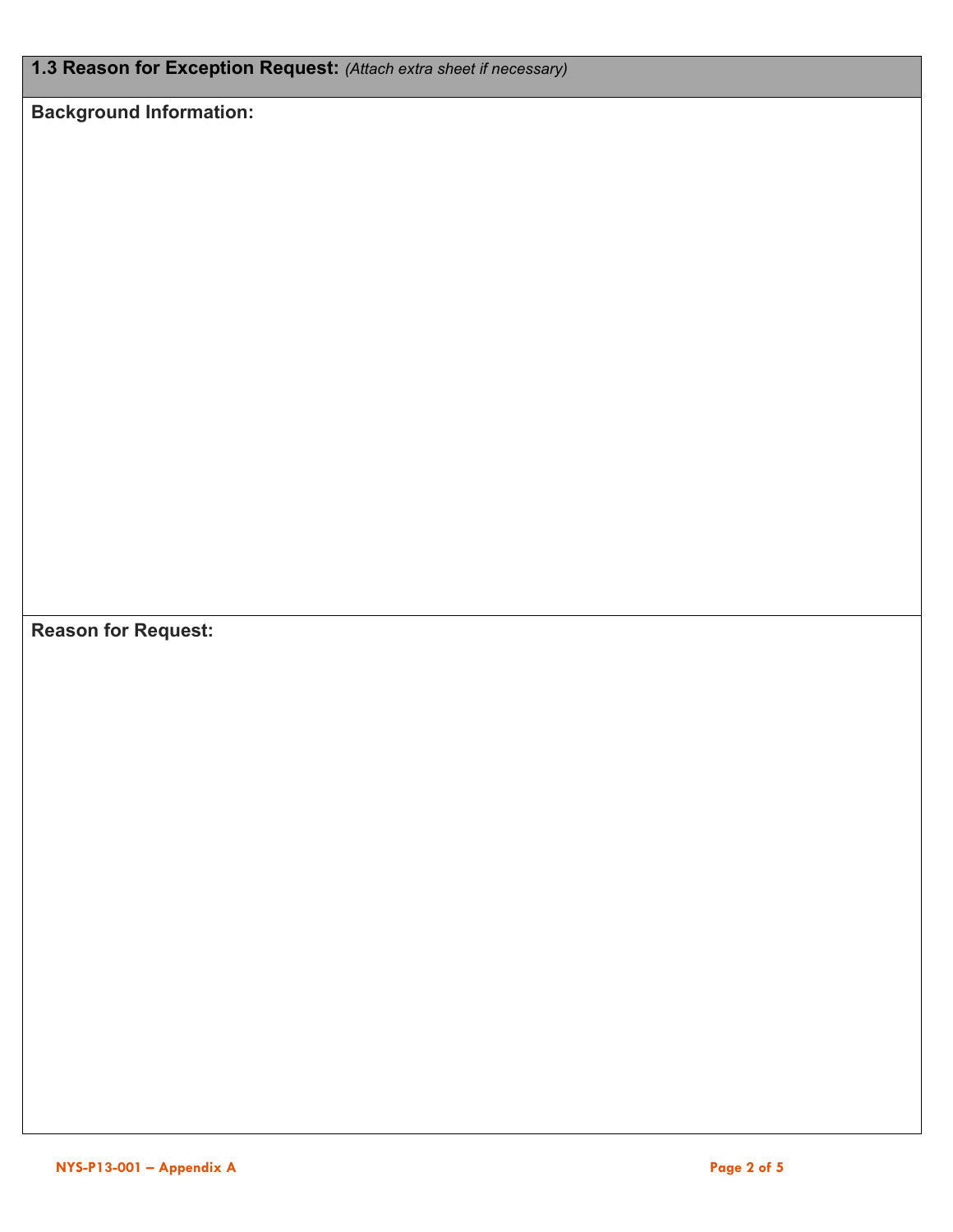**1.3 Reason for Exception Request:** *(Attach extra sheet if necessary)*

**Background Information:**

**Reason for Request:**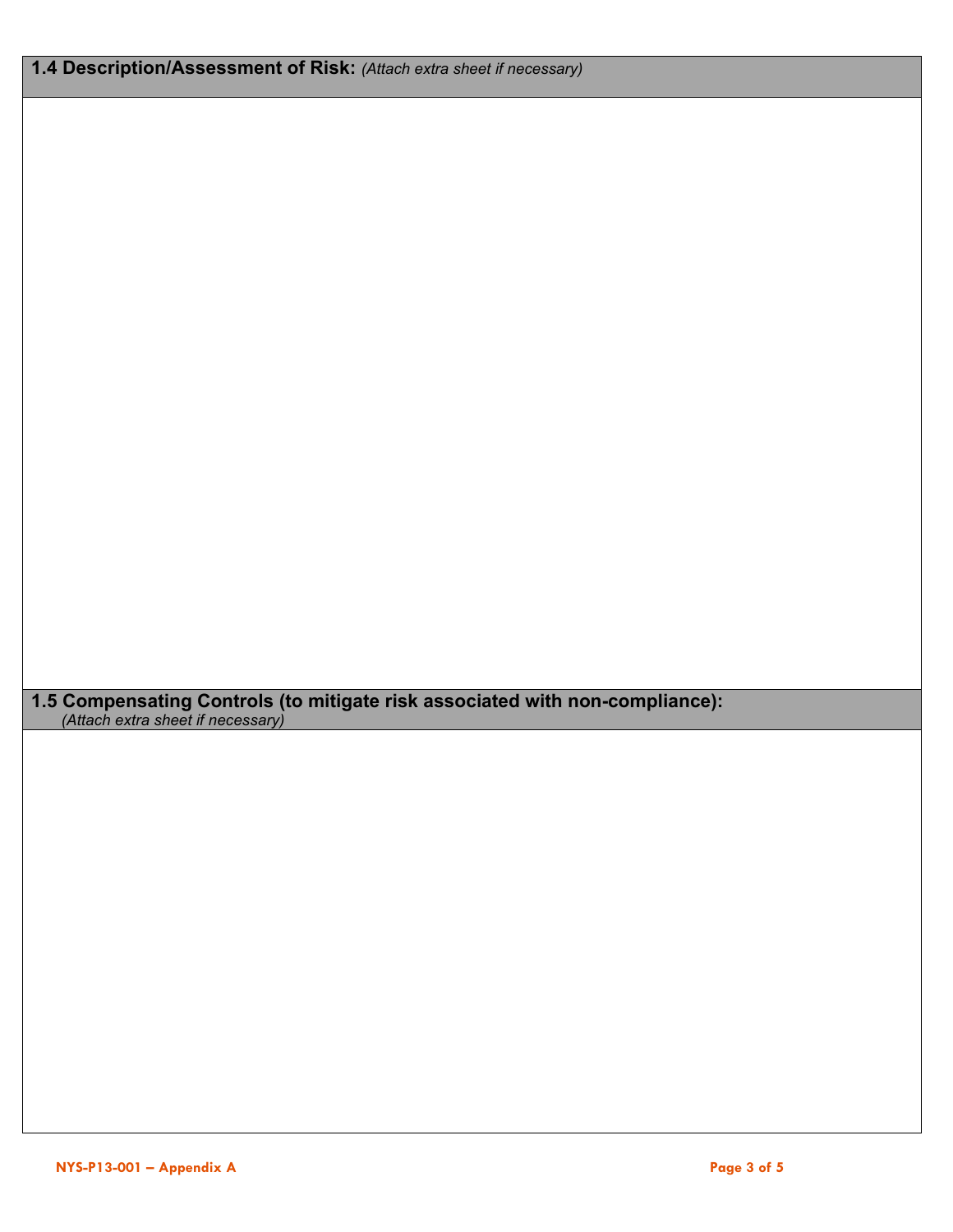**1.5 Compensating Controls (to mitigate risk associated with non-compliance):** *(Attach extra sheet if necessary)*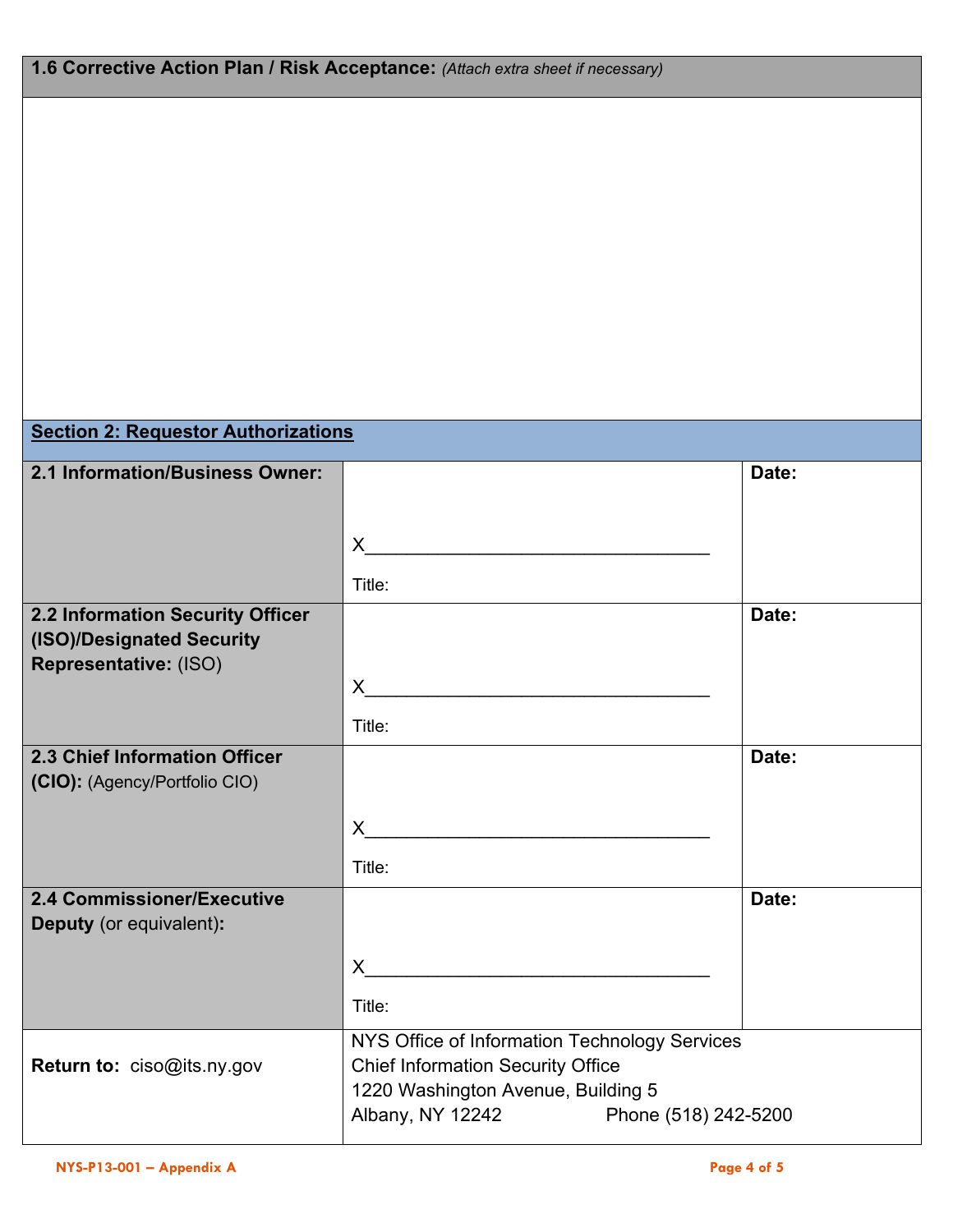| 1.6 Corrective Action Plan / Risk Acceptance: (Attach extra sheet if necessary)        |                                                                                                                                                                             |       |  |  |
|----------------------------------------------------------------------------------------|-----------------------------------------------------------------------------------------------------------------------------------------------------------------------------|-------|--|--|
|                                                                                        |                                                                                                                                                                             |       |  |  |
| <b>Section 2: Requestor Authorizations</b>                                             |                                                                                                                                                                             |       |  |  |
| 2.1 Information/Business Owner:                                                        | $\mathsf{X}$<br>Title:                                                                                                                                                      | Date: |  |  |
| 2.2 Information Security Officer<br>(ISO)/Designated Security<br>Representative: (ISO) | X.<br>Title:                                                                                                                                                                | Date: |  |  |
| 2.3 Chief Information Officer<br>(CIO): (Agency/Portfolio CIO)                         | X.<br>Title:                                                                                                                                                                | Date: |  |  |
| 2.4 Commissioner/Executive<br>Deputy (or equivalent):                                  | $\mathsf{X}$<br>Title:                                                                                                                                                      | Date: |  |  |
| Return to: ciso@its.ny.gov                                                             | NYS Office of Information Technology Services<br><b>Chief Information Security Office</b><br>1220 Washington Avenue, Building 5<br>Albany, NY 12242<br>Phone (518) 242-5200 |       |  |  |